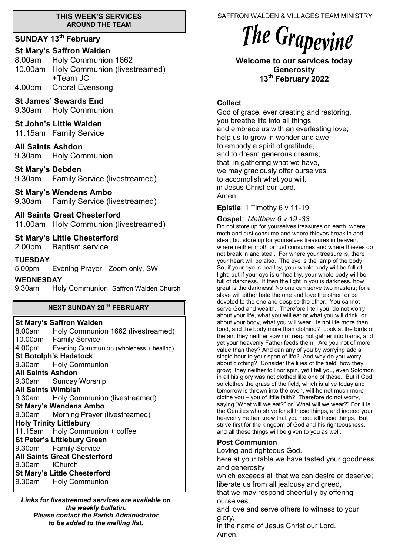#### **THIS WEEK'S SERVICES AROUND THE TEAM**

## **SUNDAY 13th February**

**St Mary's Saffron Walden**  8.00am Holy Communion 1662 10.00am Holy Communion (livestreamed) +Team JC 4.00pm Choral Evensong

**St James' Sewards End**  9.30am Holy Communion

**St John's Little Walden**  11.15am Family Service

**All Saints Ashdon**  9.30am Holy Communion

**St Mary's Debden** 9.30am Family Service (livestreamed)

**St Mary's Wendens Ambo** 9.30am Family Service (livestreamed)

**All Saints Great Chesterford** 11.00am Holy Communion (livestreamed)

**St Mary's Little Chesterford**

2.00pm Baptism service

### **TUESDAY**

5.00pm Evening Prayer - Zoom only, SW

**WEDNESDAY**

9.30am Holy Communion, Saffron Walden Church

## **NEXT SUNDAY 20TH FEBRUARY**

## **St Mary's Saffron Walden**

8.00am Holy Communion 1662 (livestreamed) 10.00am Family Service 4.00pm Evening Communion (wholeness + healing) **St Botolph's Hadstock**  9.30am Holy Communion **All Saints Ashdon**  9.30am Sunday Worship **All Saints Wimbish** 9.30am Holy Communion (livestreamed) **St Mary's Wendens Ambo** 9.30am Morning Prayer (livestreamed) **Holy Trinity Littlebury** 11.15am Holy Communion + coffee **St Peter's Littlebury Green** 9.30am Family Service **All Saints Great Chesterford** 9.30am iChurch **St Mary's Little Chesterford** 9.30am Holy Communion

*Links for livestreamed services are available on the weekly bulletin. Please contact the Parish Administrator to be added to the mailing list.*

SAFFRON WALDEN & VILLAGES TEAM MINISTRY

# The Grapevine

**Welcome to our services today Generosity 13th February 2022**

## **Collect**

God of grace, ever creating and restoring, you breathe life into all things and embrace us with an everlasting love; help us to grow in wonder and awe, to embody a spirit of gratitude, and to dream generous dreams; that, in gathering what we have, we may graciously offer ourselves to accomplish what you will, in Jesus Christ our Lord. Amen.

**Epistle**: 1 Timothy 6 v 11-19

**Gospel**: *Matthew 6 v 19 -33*

Do not store up for yourselves treasures on earth, where moth and rust consume and where thieves break in and steal; but store up for yourselves treasures in heaven, where neither moth or rust consumes and where thieves do not break in and steal. For where your treasure is, there your heart will be also. The eye is the lamp of the body. So, if your eye is healthy, your whole body will be full of light; but if your eye is unhealthy, your whole body will be full of darkness. If then the light in you is darkness, how great is the darkness! No one can serve two masters; for a slave will either hate the one and love the other, or be devoted to the one and despise the other. You cannot serve God and wealth. Therefore I tell you, do not worry about your life, what you will eat or what you will drink, or about your body, what you will wear. Is not life more than food, and the body more than clothing? Look at the birds of the air; they neither sow nor reap not gather into barns, and yet your heavenly Father feeds them. Are you not of more value than they? And can any of you by worrying add a single hour to your span of life? And why do you worry about clothing? Consider the lilies of the field, how they grow; they neither toil nor spin, yet I tell you, even Solomon in all his glory was not clothed like one of these. But if God so clothes the grass of the field, which is alive today and tomorrow is thrown into the oven, will he not much more clothe you – you of little faith? Therefore do not worry, saying "What will we eat?" or "What will we wear?" For it is the Gentiles who strive for all these things, and indeed your heavenly Father know that you need all these things. But strive first for the kingdom of God and his righteousness. and all these things will be given to you as well.

#### **Post Communion**

Loving and righteous God.

here at your table we have tasted your goodness and generosity

which exceeds all that we can desire or deserve; liberate us from all jealousy and greed,

that we may respond cheerfully by offering ourselves,

and love and serve others to witness to your glory,

in the name of Jesus Christ our Lord. Amen.